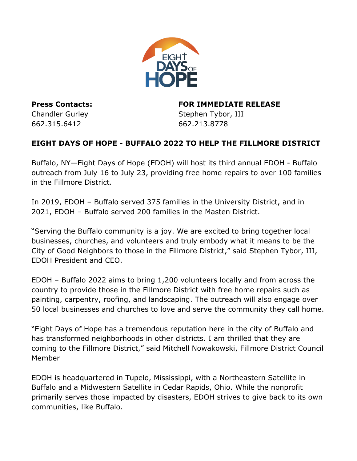

662.315.6412 662.213.8778

**Press Contacts: FOR IMMEDIATE RELEASE** Chandler Gurley **Stephen Tybor, III** 

## **EIGHT DAYS OF HOPE - BUFFALO 2022 TO HELP THE FILLMORE DISTRICT**

Buffalo, NY—Eight Days of Hope (EDOH) will host its third annual EDOH - Buffalo outreach from July 16 to July 23, providing free home repairs to over 100 families in the Fillmore District.

In 2019, EDOH – Buffalo served 375 families in the University District, and in 2021, EDOH – Buffalo served 200 families in the Masten District.

"Serving the Buffalo community is a joy. We are excited to bring together local businesses, churches, and volunteers and truly embody what it means to be the City of Good Neighbors to those in the Fillmore District," said Stephen Tybor, III, EDOH President and CEO.

EDOH – Buffalo 2022 aims to bring 1,200 volunteers locally and from across the country to provide those in the Fillmore District with free home repairs such as painting, carpentry, roofing, and landscaping. The outreach will also engage over 50 local businesses and churches to love and serve the community they call home.

"Eight Days of Hope has a tremendous reputation here in the city of Buffalo and has transformed neighborhoods in other districts. I am thrilled that they are coming to the Fillmore District," said Mitchell Nowakowski, Fillmore District Council Member

EDOH is headquartered in Tupelo, Mississippi, with a Northeastern Satellite in Buffalo and a Midwestern Satellite in Cedar Rapids, Ohio. While the nonprofit primarily serves those impacted by disasters, EDOH strives to give back to its own communities, like Buffalo.